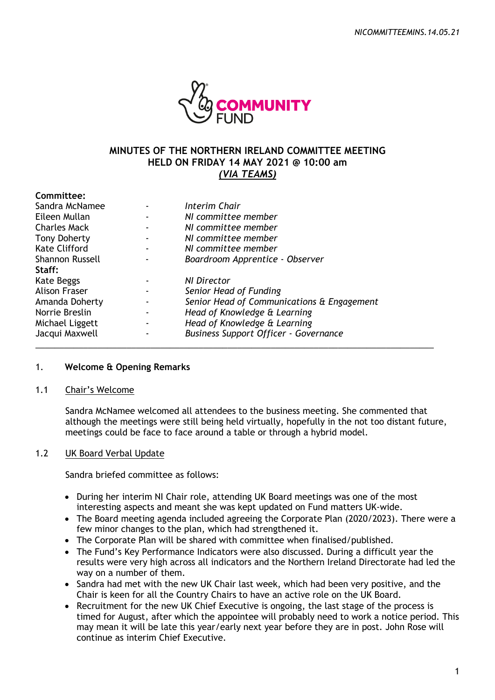

# **MINUTES OF THE NORTHERN IRELAND COMMITTEE MEETING HELD ON FRIDAY 14 MAY 2021 @ 10:00 am**  *(VIA TEAMS)*

| Committee:           |                                              |
|----------------------|----------------------------------------------|
| Sandra McNamee       | Interim Chair                                |
| Eileen Mullan        | NI committee member                          |
| <b>Charles Mack</b>  | NI committee member                          |
| <b>Tony Doherty</b>  | NI committee member                          |
| <b>Kate Clifford</b> | NI committee member                          |
| Shannon Russell      | Boardroom Apprentice - Observer              |
| Staff:               |                                              |
| Kate Beggs           | NI Director                                  |
| <b>Alison Fraser</b> | Senior Head of Funding                       |
| Amanda Doherty       | Senior Head of Communications & Engagement   |
| Norrie Breslin       | Head of Knowledge & Learning                 |
| Michael Liggett      | Head of Knowledge & Learning                 |
| Jacqui Maxwell       | <b>Business Support Officer - Governance</b> |
|                      |                                              |

### 1. **Welcome & Opening Remarks**

#### 1.1 Chair's Welcome

Sandra McNamee welcomed all attendees to the business meeting. She commented that although the meetings were still being held virtually, hopefully in the not too distant future, meetings could be face to face around a table or through a hybrid model.

### 1.2 UK Board Verbal Update

Sandra briefed committee as follows:

- During her interim NI Chair role, attending UK Board meetings was one of the most interesting aspects and meant she was kept updated on Fund matters UK-wide.
- The Board meeting agenda included agreeing the Corporate Plan (2020/2023). There were a few minor changes to the plan, which had strengthened it.
- The Corporate Plan will be shared with committee when finalised/published.
- The Fund's Key Performance Indicators were also discussed. During a difficult year the results were very high across all indicators and the Northern Ireland Directorate had led the way on a number of them.
- Sandra had met with the new UK Chair last week, which had been very positive, and the Chair is keen for all the Country Chairs to have an active role on the UK Board.
- Recruitment for the new UK Chief Executive is ongoing, the last stage of the process is timed for August, after which the appointee will probably need to work a notice period. This may mean it will be late this year/early next year before they are in post. John Rose will continue as interim Chief Executive.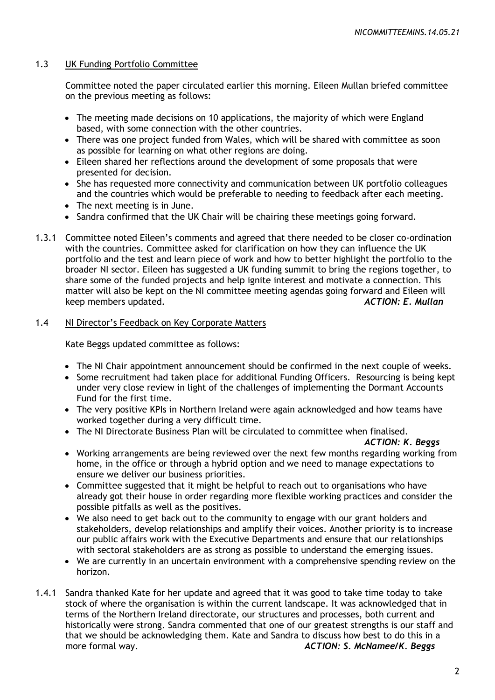# 1.3 UK Funding Portfolio Committee

Committee noted the paper circulated earlier this morning. Eileen Mullan briefed committee on the previous meeting as follows:

- The meeting made decisions on 10 applications, the majority of which were England based, with some connection with the other countries.
- There was one project funded from Wales, which will be shared with committee as soon as possible for learning on what other regions are doing.
- Eileen shared her reflections around the development of some proposals that were presented for decision.
- She has requested more connectivity and communication between UK portfolio colleagues and the countries which would be preferable to needing to feedback after each meeting.
- The next meeting is in June.
- Sandra confirmed that the UK Chair will be chairing these meetings going forward.
- 1.3.1 Committee noted Eileen's comments and agreed that there needed to be closer co-ordination with the countries. Committee asked for clarification on how they can influence the UK portfolio and the test and learn piece of work and how to better highlight the portfolio to the broader NI sector. Eileen has suggested a UK funding summit to bring the regions together, to share some of the funded projects and help ignite interest and motivate a connection. This matter will also be kept on the NI committee meeting agendas going forward and Eileen will keep members updated. *ACTION: E. Mullan*

### 1.4 NI Director's Feedback on Key Corporate Matters

Kate Beggs updated committee as follows:

- The NI Chair appointment announcement should be confirmed in the next couple of weeks.
- Some recruitment had taken place for additional Funding Officers. Resourcing is being kept under very close review in light of the challenges of implementing the Dormant Accounts Fund for the first time.
- The very positive KPIs in Northern Ireland were again acknowledged and how teams have worked together during a very difficult time.
- The NI Directorate Business Plan will be circulated to committee when finalised.

### *ACTION: K. Beggs*

- Working arrangements are being reviewed over the next few months regarding working from home, in the office or through a hybrid option and we need to manage expectations to ensure we deliver our business priorities.
- Committee suggested that it might be helpful to reach out to organisations who have already got their house in order regarding more flexible working practices and consider the possible pitfalls as well as the positives.
- We also need to get back out to the community to engage with our grant holders and stakeholders, develop relationships and amplify their voices. Another priority is to increase our public affairs work with the Executive Departments and ensure that our relationships with sectoral stakeholders are as strong as possible to understand the emerging issues.
- We are currently in an uncertain environment with a comprehensive spending review on the horizon.
- 1.4.1 Sandra thanked Kate for her update and agreed that it was good to take time today to take stock of where the organisation is within the current landscape. It was acknowledged that in terms of the Northern Ireland directorate, our structures and processes, both current and historically were strong. Sandra commented that one of our greatest strengths is our staff and that we should be acknowledging them. Kate and Sandra to discuss how best to do this in a more formal way. *ACTION: S. McNamee/K. Beggs*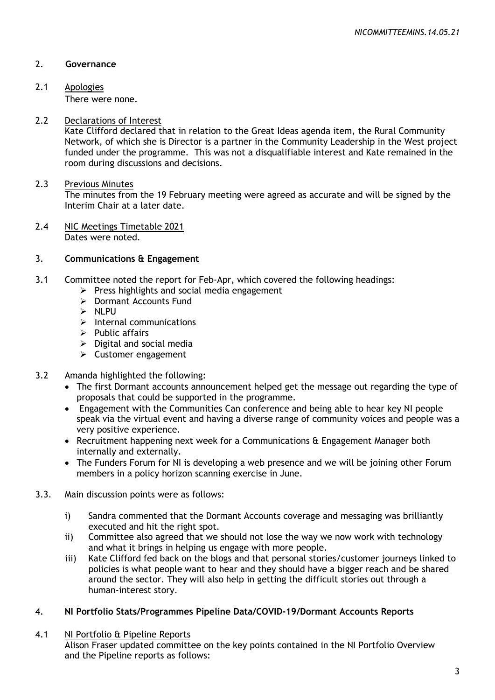# 2. **Governance**

2.1 Apologies

There were none.

### 2.2 Declarations of Interest

Kate Clifford declared that in relation to the Great Ideas agenda item, the Rural Community Network, of which she is Director is a partner in the Community Leadership in the West project funded under the programme. This was not a disqualifiable interest and Kate remained in the room during discussions and decisions.

### 2.3 Previous Minutes

The minutes from the 19 February meeting were agreed as accurate and will be signed by the Interim Chair at a later date.

2.4 NIC Meetings Timetable 2021 Dates were noted.

### 3. **Communications & Engagement**

- 3.1 Committee noted the report for Feb-Apr, which covered the following headings:
	- $\triangleright$  Press highlights and social media engagement
	- $\triangleright$  Dormant Accounts Fund
	- $>$  NLPLL
	- $\blacktriangleright$  Internal communications
	- $\triangleright$  Public affairs
	- $\triangleright$  Digital and social media
	- $\triangleright$  Customer engagement

### 3.2 Amanda highlighted the following:

- The first Dormant accounts announcement helped get the message out regarding the type of proposals that could be supported in the programme.
- Engagement with the Communities Can conference and being able to hear key NI people speak via the virtual event and having a diverse range of community voices and people was a very positive experience.
- Recruitment happening next week for a Communications & Engagement Manager both internally and externally.
- The Funders Forum for NI is developing a web presence and we will be joining other Forum members in a policy horizon scanning exercise in June.
- 3.3. Main discussion points were as follows:
	- i) Sandra commented that the Dormant Accounts coverage and messaging was brilliantly executed and hit the right spot.
	- ii) Committee also agreed that we should not lose the way we now work with technology and what it brings in helping us engage with more people.
	- iii) Kate Clifford fed back on the blogs and that personal stories/customer journeys linked to policies is what people want to hear and they should have a bigger reach and be shared around the sector. They will also help in getting the difficult stories out through a human-interest story.

### 4. **NI Portfolio Stats/Programmes Pipeline Data/COVID-19/Dormant Accounts Reports**

### 4.1 NI Portfolio & Pipeline Reports

Alison Fraser updated committee on the key points contained in the NI Portfolio Overview and the Pipeline reports as follows: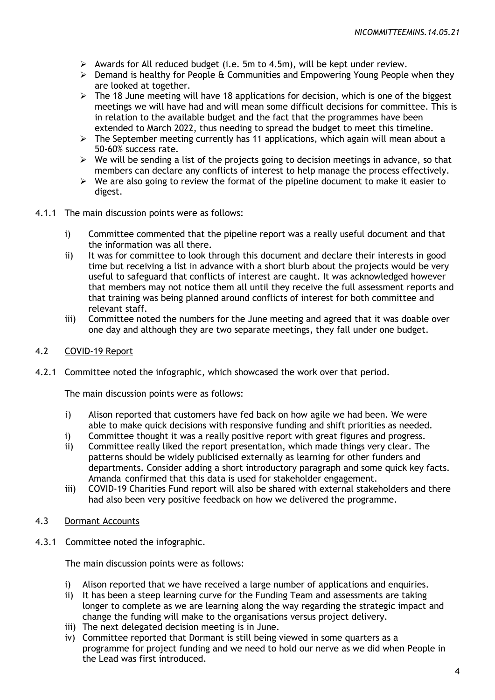- $\triangleright$  Awards for All reduced budget (i.e. 5m to 4.5m), will be kept under review.
- $\triangleright$  Demand is healthy for People & Communities and Empowering Young People when they are looked at together.
- $\geq$  The 18 June meeting will have 18 applications for decision, which is one of the biggest meetings we will have had and will mean some difficult decisions for committee. This is in relation to the available budget and the fact that the programmes have been extended to March 2022, thus needing to spread the budget to meet this timeline.
- $\triangleright$  The September meeting currently has 11 applications, which again will mean about a 50-60% success rate.
- $\triangleright$  We will be sending a list of the projects going to decision meetings in advance, so that members can declare any conflicts of interest to help manage the process effectively.
- $\triangleright$  We are also going to review the format of the pipeline document to make it easier to digest.
- 4.1.1 The main discussion points were as follows:
	- i) Committee commented that the pipeline report was a really useful document and that the information was all there.
	- ii) It was for committee to look through this document and declare their interests in good time but receiving a list in advance with a short blurb about the projects would be very useful to safeguard that conflicts of interest are caught. It was acknowledged however that members may not notice them all until they receive the full assessment reports and that training was being planned around conflicts of interest for both committee and relevant staff.
	- iii) Committee noted the numbers for the June meeting and agreed that it was doable over one day and although they are two separate meetings, they fall under one budget.
- 4.2 COVID-19 Report
- 4.2.1 Committee noted the infographic, which showcased the work over that period.

The main discussion points were as follows:

- i) Alison reported that customers have fed back on how agile we had been. We were able to make quick decisions with responsive funding and shift priorities as needed.
- i) Committee thought it was a really positive report with great figures and progress.
- ii) Committee really liked the report presentation, which made things very clear. The patterns should be widely publicised externally as learning for other funders and departments. Consider adding a short introductory paragraph and some quick key facts. Amanda confirmed that this data is used for stakeholder engagement.
- iii) COVID-19 Charities Fund report will also be shared with external stakeholders and there had also been very positive feedback on how we delivered the programme.
- 4.3 Dormant Accounts
- 4.3.1 Committee noted the infographic.

The main discussion points were as follows:

- i) Alison reported that we have received a large number of applications and enquiries.
- ii) It has been a steep learning curve for the Funding Team and assessments are taking longer to complete as we are learning along the way regarding the strategic impact and change the funding will make to the organisations versus project delivery.
- iii) The next delegated decision meeting is in June.
- iv) Committee reported that Dormant is still being viewed in some quarters as a programme for project funding and we need to hold our nerve as we did when People in the Lead was first introduced.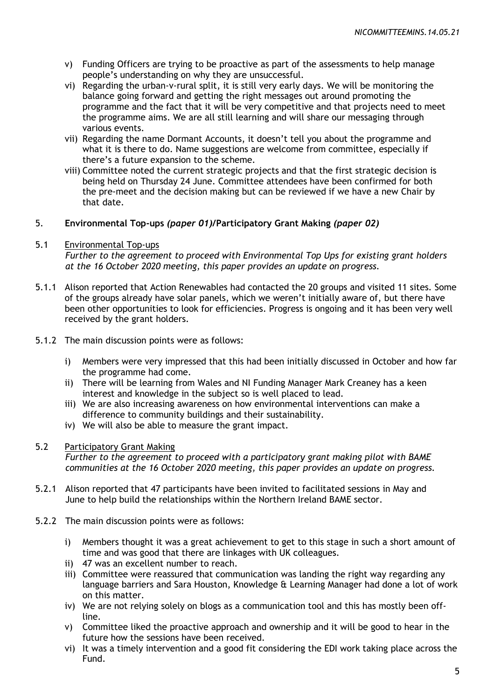- v) Funding Officers are trying to be proactive as part of the assessments to help manage people's understanding on why they are unsuccessful.
- vi) Regarding the urban-v-rural split, it is still very early days. We will be monitoring the balance going forward and getting the right messages out around promoting the programme and the fact that it will be very competitive and that projects need to meet the programme aims. We are all still learning and will share our messaging through various events.
- vii) Regarding the name Dormant Accounts, it doesn't tell you about the programme and what it is there to do. Name suggestions are welcome from committee, especially if there's a future expansion to the scheme.
- viii) Committee noted the current strategic projects and that the first strategic decision is being held on Thursday 24 June. Committee attendees have been confirmed for both the pre-meet and the decision making but can be reviewed if we have a new Chair by that date.

# 5. **Environmental Top-ups** *(paper 01)/***Participatory Grant Making** *(paper 02)*

### 5.1 Environmental Top-ups

*Further to the agreement to proceed with Environmental Top Ups for existing grant holders at the 16 October 2020 meeting, this paper provides an update on progress.*

- 5.1.1 Alison reported that Action Renewables had contacted the 20 groups and visited 11 sites. Some of the groups already have solar panels, which we weren't initially aware of, but there have been other opportunities to look for efficiencies. Progress is ongoing and it has been very well received by the grant holders.
- 5.1.2 The main discussion points were as follows:
	- i) Members were very impressed that this had been initially discussed in October and how far the programme had come.
	- ii) There will be learning from Wales and NI Funding Manager Mark Creaney has a keen interest and knowledge in the subject so is well placed to lead.
	- iii) We are also increasing awareness on how environmental interventions can make a difference to community buildings and their sustainability.
	- iv) We will also be able to measure the grant impact.

### 5.2 Participatory Grant Making

*Further to the agreement to proceed with a participatory grant making pilot with BAME communities at the 16 October 2020 meeting, this paper provides an update on progress.*

- 5.2.1 Alison reported that 47 participants have been invited to facilitated sessions in May and June to help build the relationships within the Northern Ireland BAME sector.
- 5.2.2 The main discussion points were as follows:
	- i) Members thought it was a great achievement to get to this stage in such a short amount of time and was good that there are linkages with UK colleagues.
	- ii) 47 was an excellent number to reach.
	- iii) Committee were reassured that communication was landing the right way regarding any language barriers and Sara Houston, Knowledge & Learning Manager had done a lot of work on this matter.
	- iv) We are not relying solely on blogs as a communication tool and this has mostly been offline.
	- v) Committee liked the proactive approach and ownership and it will be good to hear in the future how the sessions have been received.
	- vi) It was a timely intervention and a good fit considering the EDI work taking place across the Fund.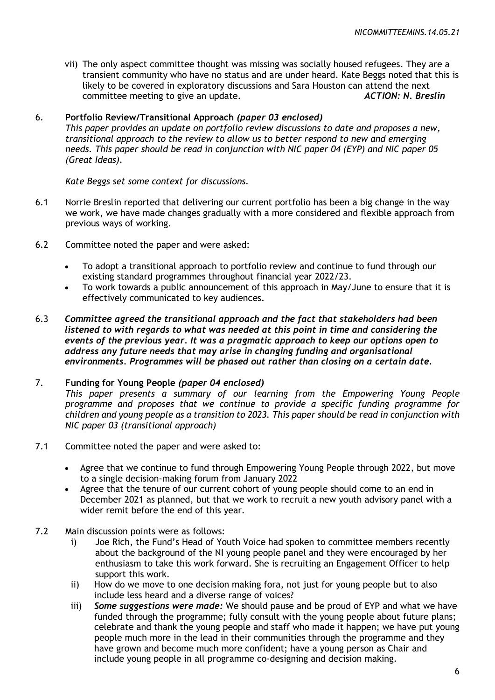vii) The only aspect committee thought was missing was socially housed refugees. They are a transient community who have no status and are under heard. Kate Beggs noted that this is likely to be covered in exploratory discussions and Sara Houston can attend the next committee meeting to give an update. *ACTION: N. Breslin*

### 6. **Portfolio Review/Transitional Approach** *(paper 03 enclosed)*

*This paper provides an update on portfolio review discussions to date and proposes a new, transitional approach to the review to allow us to better respond to new and emerging needs. This paper should be read in conjunction with NIC paper 04 (EYP) and NIC paper 05 (Great Ideas).*

*Kate Beggs set some context for discussions.*

- 6.1 Norrie Breslin reported that delivering our current portfolio has been a big change in the way we work, we have made changes gradually with a more considered and flexible approach from previous ways of working.
- 6.2 Committee noted the paper and were asked:
	- To adopt a transitional approach to portfolio review and continue to fund through our existing standard programmes throughout financial year 2022/23.
	- To work towards a public announcement of this approach in May/June to ensure that it is effectively communicated to key audiences.
- 6.3 *Committee agreed the transitional approach and the fact that stakeholders had been listened to with regards to what was needed at this point in time and considering the events of the previous year. It was a pragmatic approach to keep our options open to address any future needs that may arise in changing funding and organisational environments. Programmes will be phased out rather than closing on a certain date.*

# 7. **Funding for Young People** *(paper 04 enclosed)*

*This paper presents a summary of our learning from the Empowering Young People programme and proposes that we continue to provide a specific funding programme for children and young people as a transition to 2023. This paper should be read in conjunction with NIC paper 03 (transitional approach)*

- 7.1 Committee noted the paper and were asked to:
	- Agree that we continue to fund through Empowering Young People through 2022, but move to a single decision-making forum from January 2022
	- Agree that the tenure of our current cohort of young people should come to an end in December 2021 as planned, but that we work to recruit a new youth advisory panel with a wider remit before the end of this year.
- 7.2 Main discussion points were as follows:
	- i) Joe Rich, the Fund's Head of Youth Voice had spoken to committee members recently about the background of the NI young people panel and they were encouraged by her enthusiasm to take this work forward. She is recruiting an Engagement Officer to help support this work.
	- ii) How do we move to one decision making fora, not just for young people but to also include less heard and a diverse range of voices?
	- iii) *Some suggestions were made:* We should pause and be proud of EYP and what we have funded through the programme; fully consult with the young people about future plans; celebrate and thank the young people and staff who made it happen; we have put young people much more in the lead in their communities through the programme and they have grown and become much more confident; have a young person as Chair and include young people in all programme co-designing and decision making.